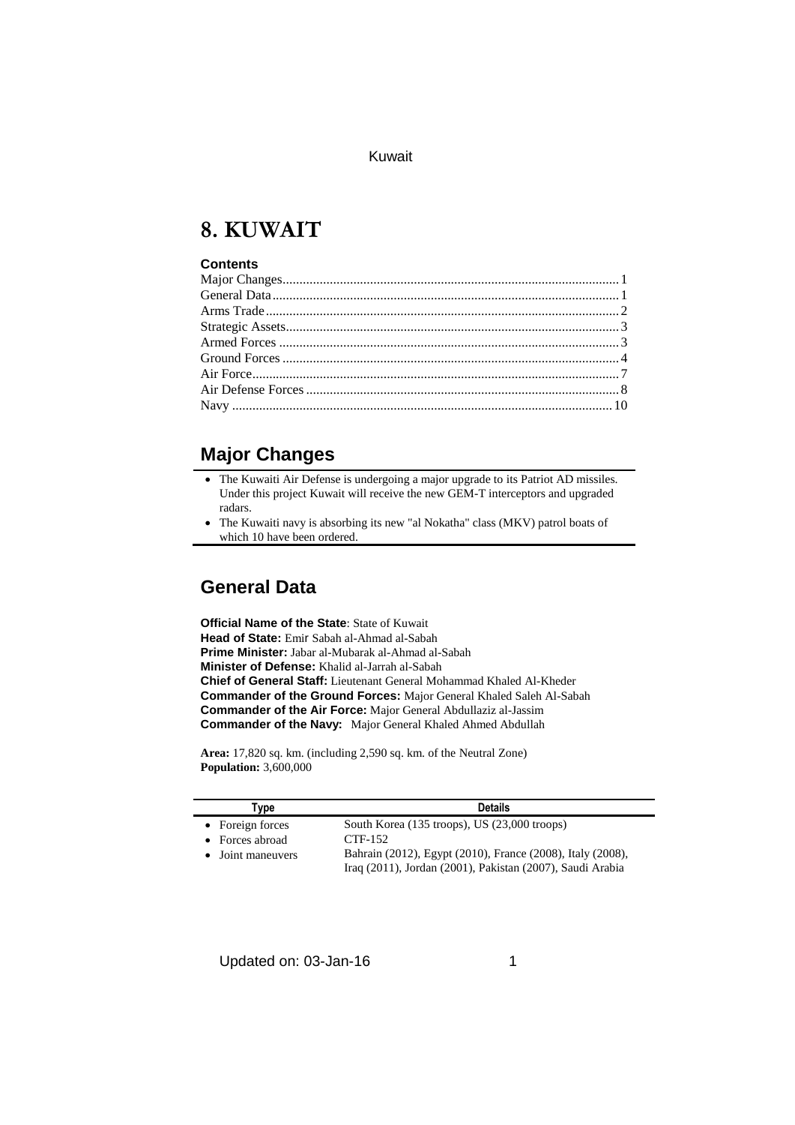# **8. KUWAIT**

#### **Contents**

## **Major Changes**

- The Kuwaiti Air Defense is undergoing a major upgrade to its Patriot AD missiles. Under this project Kuwait will receive the new GEM-T interceptors and upgraded radars.
- The Kuwaiti navy is absorbing its new "al Nokatha" class (MKV) patrol boats of which 10 have been ordered.

## **General Data**

**Official Name of the State**: State of Kuwait **Head of State:** Emir Sabah al-Ahmad al-Sabah **Prime Minister:** Jabar al-Mubarak al-Ahmad al-Sabah **Minister of Defense:** Khalid al-Jarrah al-Sabah **Chief of General Staff:** Lieutenant General Mohammad Khaled Al-Kheder **Commander of the Ground Forces:** Major General Khaled Saleh Al-Sabah **Commander of the Air Force:** Major General Abdullaziz al-Jassim **Commander of the Navy:** Major General Khaled Ahmed Abdullah

**Area:** 17,820 sq. km. (including 2,590 sq. km. of the Neutral Zone) **Population:** 3,600,000

| Type                    | <b>Details</b>                                                                                                          |
|-------------------------|-------------------------------------------------------------------------------------------------------------------------|
| • Foreign forces        | South Korea (135 troops), US (23,000 troops)                                                                            |
| $\bullet$ Forces abroad | CTF-152                                                                                                                 |
| • Joint maneuvers       | Bahrain (2012), Egypt (2010), France (2008), Italy (2008),<br>Iraq (2011), Jordan (2001), Pakistan (2007), Saudi Arabia |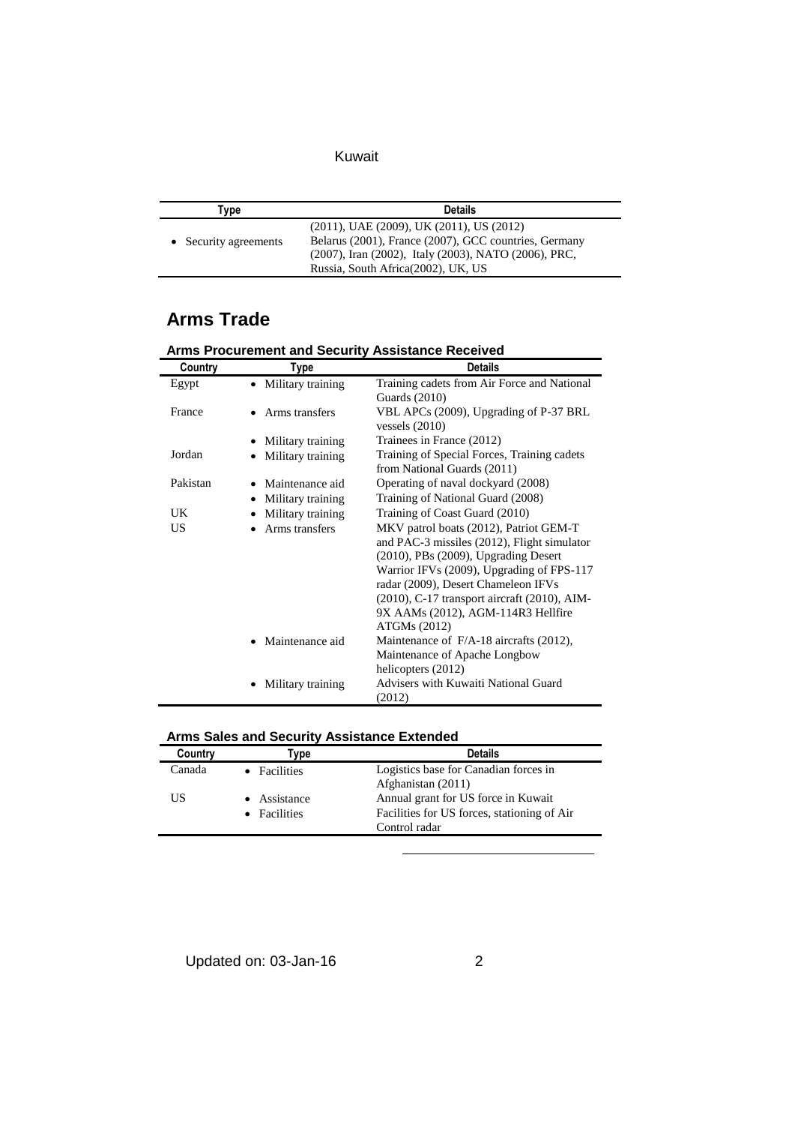| Tvpe                  | <b>Details</b>                                                                                                                                                                                             |
|-----------------------|------------------------------------------------------------------------------------------------------------------------------------------------------------------------------------------------------------|
| • Security agreements | $(2011)$ , UAE $(2009)$ , UK $(2011)$ , US $(2012)$<br>Belarus (2001), France (2007), GCC countries, Germany<br>(2007), Iran (2002), Italy (2003), NATO (2006), PRC,<br>Russia, South Africa(2002), UK, US |

## **Arms Trade**

| Country  | Type                           | <b>Details</b>                                                                                                                                                                                                                                                                                                          |
|----------|--------------------------------|-------------------------------------------------------------------------------------------------------------------------------------------------------------------------------------------------------------------------------------------------------------------------------------------------------------------------|
| Egypt    | • Military training            | Training cadets from Air Force and National<br><b>Guards</b> (2010)                                                                                                                                                                                                                                                     |
| France   | Arms transfers                 | VBL APCs (2009), Upgrading of P-37 BRL<br>vessels $(2010)$                                                                                                                                                                                                                                                              |
|          | Military training              | Trainees in France (2012)                                                                                                                                                                                                                                                                                               |
| Jordan   | Military training              | Training of Special Forces, Training cadets<br>from National Guards (2011)                                                                                                                                                                                                                                              |
| Pakistan | Maintenance aid                | Operating of naval dockyard (2008)                                                                                                                                                                                                                                                                                      |
|          | Military training<br>$\bullet$ | Training of National Guard (2008)                                                                                                                                                                                                                                                                                       |
| UK       | Military training              | Training of Coast Guard (2010)                                                                                                                                                                                                                                                                                          |
| US       | Arms transfers                 | MKV patrol boats (2012), Patriot GEM-T<br>and PAC-3 missiles (2012), Flight simulator<br>(2010), PBs (2009), Upgrading Desert<br>Warrior IFVs (2009), Upgrading of FPS-117<br>radar (2009), Desert Chameleon IFVs<br>(2010), C-17 transport aircraft (2010), AIM-<br>9X AAMs (2012), AGM-114R3 Hellfire<br>ATGMs (2012) |
|          | Maintenance aid                | Maintenance of F/A-18 aircrafts (2012),<br>Maintenance of Apache Longbow<br>helicopters (2012)                                                                                                                                                                                                                          |
|          | Military training              | Advisers with Kuwaiti National Guard<br>(2012)                                                                                                                                                                                                                                                                          |

# **Arms Procurement and Security Assistance Received**

#### **Arms Sales and Security Assistance Extended**

| Country | <b>vpe</b>   | <b>Details</b>                              |
|---------|--------------|---------------------------------------------|
| Canada  | • Facilities | Logistics base for Canadian forces in       |
|         |              | Afghanistan (2011)                          |
| US      | • Assistance | Annual grant for US force in Kuwait         |
|         | • Facilities | Facilities for US forces, stationing of Air |
|         |              | Control radar                               |
|         |              |                                             |

1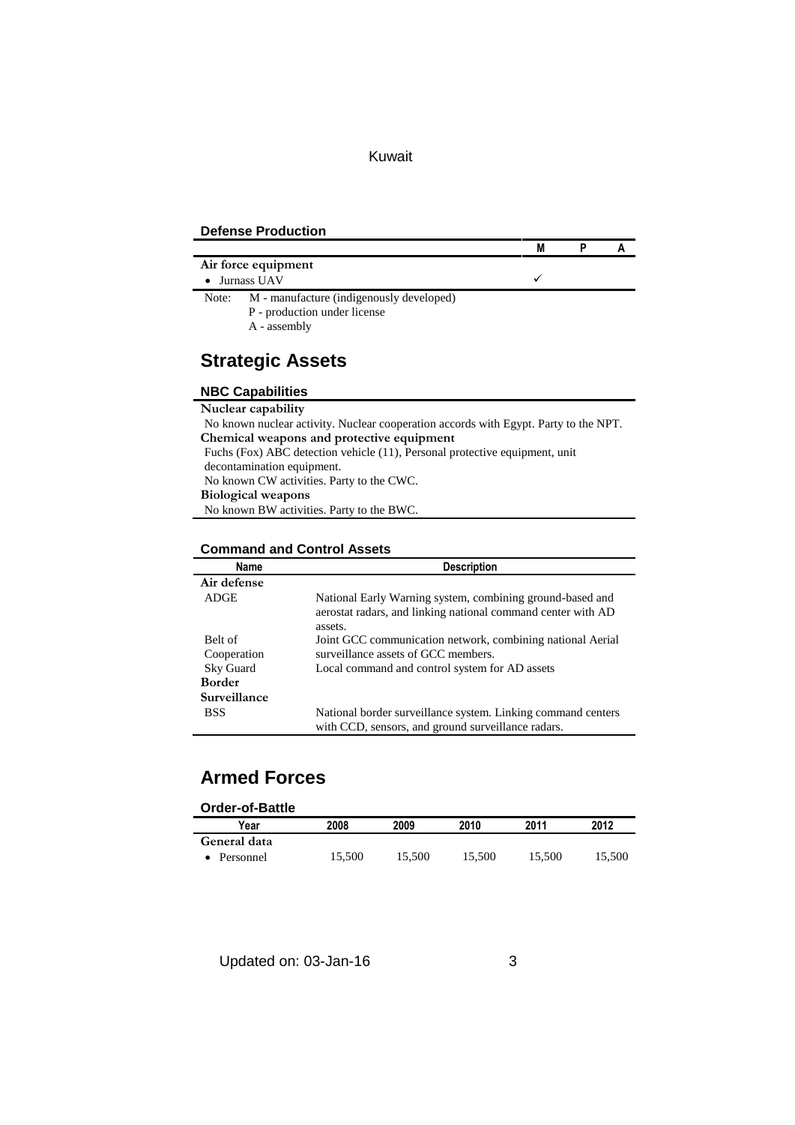#### **Defense Production**

|       |                                                                                          | M |  |
|-------|------------------------------------------------------------------------------------------|---|--|
|       | Air force equipment                                                                      |   |  |
|       | Jurnass UAV                                                                              |   |  |
| Note: | M - manufacture (indigenously developed)<br>P - production under license<br>A - assembly |   |  |

# **Strategic Assets**

#### **NBC Capabilities**

| Nuclear capability                                                                   |
|--------------------------------------------------------------------------------------|
| No known nuclear activity. Nuclear cooperation accords with Egypt. Party to the NPT. |
| Chemical weapons and protective equipment                                            |
| Fuchs (Fox) ABC detection vehicle (11), Personal protective equipment, unit          |
| decontamination equipment.                                                           |
| No known CW activities. Party to the CWC.                                            |
| <b>Biological weapons</b>                                                            |
| No known BW activities. Party to the BWC.                                            |
|                                                                                      |

#### **Command and Control Assets**

| <b>Name</b>   | <b>Description</b>                                                                                                                   |
|---------------|--------------------------------------------------------------------------------------------------------------------------------------|
| Air defense   |                                                                                                                                      |
| <b>ADGE</b>   | National Early Warning system, combining ground-based and<br>aerostat radars, and linking national command center with AD<br>assets. |
| Belt of       | Joint GCC communication network, combining national Aerial                                                                           |
| Cooperation   | surveillance assets of GCC members.                                                                                                  |
| Sky Guard     | Local command and control system for AD assets                                                                                       |
| <b>Border</b> |                                                                                                                                      |
| Surveillance  |                                                                                                                                      |
| <b>BSS</b>    | National border surveillance system. Linking command centers                                                                         |
|               | with CCD, sensors, and ground surveillance radars.                                                                                   |

## **Armed Forces**

| <b>Order-of-Battle</b> |        |        |        |        |        |
|------------------------|--------|--------|--------|--------|--------|
| Year                   | 2008   | 2009   | 2010   | 2011   | 2012   |
| General data           |        |        |        |        |        |
| Personnel              | 15.500 | 15.500 | 15.500 | 15.500 | 15,500 |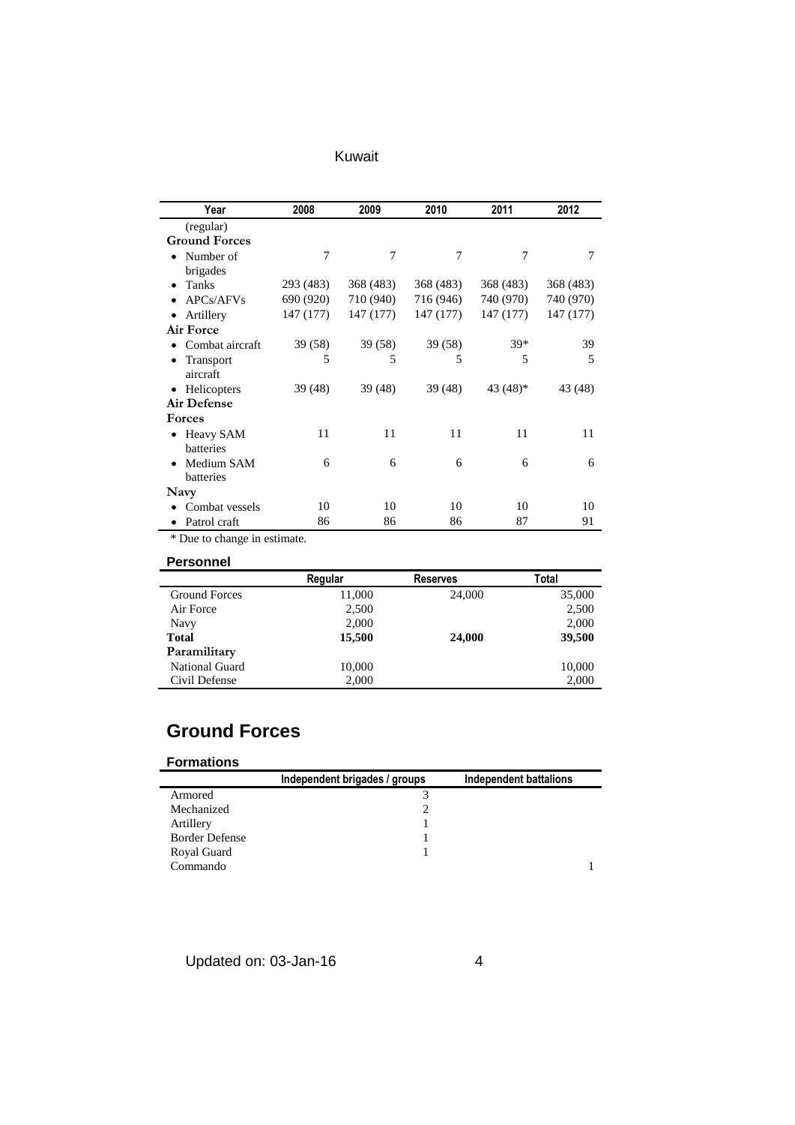| Kuwait |  |  |
|--------|--|--|

| Year                     | 2008      | 2009      | 2010      | 2011       | 2012      |
|--------------------------|-----------|-----------|-----------|------------|-----------|
| (regular)                |           |           |           |            |           |
| <b>Ground Forces</b>     |           |           |           |            |           |
| Number of<br>٠           | 7         | 7         | 7         | $\tau$     | 7         |
| brigades                 |           |           |           |            |           |
| Tanks<br>٠               | 293 (483) | 368 (483) | 368 (483) | 368 (483)  | 368 (483) |
| APCs/AFVs                | 690 (920) | 710 (940) | 716 (946) | 740 (970)  | 740 (970) |
| Artillery                | 147 (177) | 147 (177) | 147 (177) | 147 (177)  | 147 (177) |
| <b>Air Force</b>         |           |           |           |            |           |
| Combat aircraft          | 39 (58)   | 39(58)    | 39(58)    | $39*$      | 39        |
| Transport<br>aircraft    | 5         | 5         | 5         | 5          | 5         |
| Helicopters<br>$\bullet$ | 39 (48)   | 39 (48)   | 39(48)    | 43 $(48)*$ | 43 (48)   |
| <b>Air Defense</b>       |           |           |           |            |           |
| <b>Forces</b>            |           |           |           |            |           |
| Heavy SAM<br>$\bullet$   | 11        | 11        | 11        | 11         | 11        |
| batteries                |           |           |           |            |           |
| Medium SAM               | 6         | 6         | 6         | 6          | 6         |
| batteries                |           |           |           |            |           |
| Navy                     |           |           |           |            |           |
| Combat vessels           | 10        | 10        | 10        | 10         | 10        |
| Patrol craft             | 86        | 86        | 86        | 87         | 91        |

\* Due to change in estimate.

#### **Personnel**

|                      | Regular | <b>Reserves</b> | Total  |  |
|----------------------|---------|-----------------|--------|--|
| <b>Ground Forces</b> | 11,000  | 24,000          | 35,000 |  |
| Air Force            | 2,500   |                 | 2,500  |  |
| Navy                 | 2,000   |                 | 2,000  |  |
| <b>Total</b>         | 15,500  | 24,000          | 39,500 |  |
| Paramilitary         |         |                 |        |  |
| National Guard       | 10,000  |                 | 10,000 |  |
| Civil Defense        | 2,000   |                 | 2,000  |  |

## **Ground Forces**

#### **Formations**

|                       | Independent brigades / groups | Independent battalions |
|-----------------------|-------------------------------|------------------------|
| Armored               |                               |                        |
| Mechanized            |                               |                        |
| Artillery             |                               |                        |
| <b>Border Defense</b> |                               |                        |
| Royal Guard           |                               |                        |
| Commando              |                               |                        |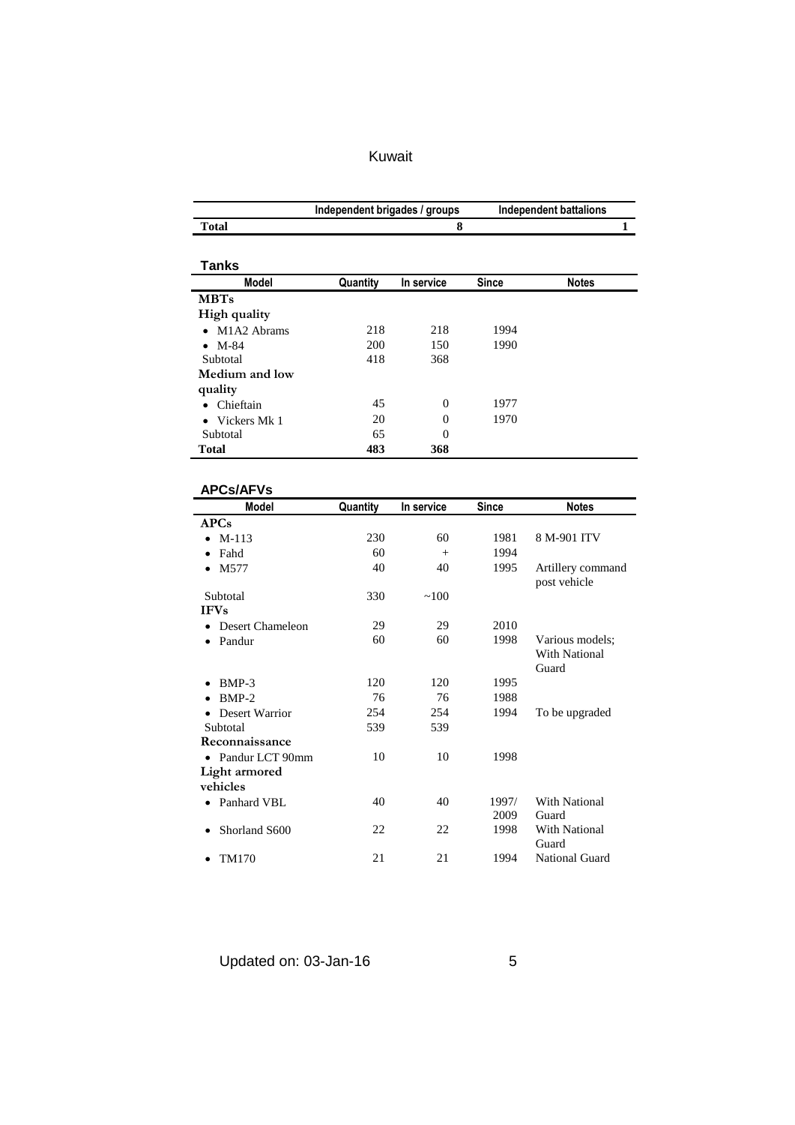|                             | Independent brigades / groups |                |              | <b>Independent battalions</b> |
|-----------------------------|-------------------------------|----------------|--------------|-------------------------------|
| <b>Total</b>                |                               | 8              |              | 1                             |
|                             |                               |                |              |                               |
| <b>Tanks</b>                |                               |                |              |                               |
| <b>Model</b>                | Quantity                      | In service     | <b>Since</b> | <b>Notes</b>                  |
| <b>MBTs</b>                 |                               |                |              |                               |
| High quality                |                               |                |              |                               |
| • M1A2 Abrams               | 218                           | 218            | 1994         |                               |
| $\bullet$ M-84              | 200                           | 150            | 1990         |                               |
| Subtotal                    | 418                           | 368            |              |                               |
| Medium and low              |                               |                |              |                               |
| quality                     |                               |                |              |                               |
| • Chieftain                 | 45                            | $\mathbf{0}$   | 1977         |                               |
| Vickers Mk 1<br>$\bullet$   | 20                            | $\overline{0}$ | 1970         |                               |
| Subtotal                    | 65                            | $\overline{0}$ |              |                               |
| <b>Total</b>                | 483                           | 368            |              |                               |
|                             |                               |                |              |                               |
|                             |                               |                |              |                               |
| <b>APCs/AFVs</b>            |                               |                |              |                               |
| Model                       | Quantity                      | In service     | Since        | <b>Notes</b>                  |
| <b>APCs</b>                 |                               |                |              |                               |
| M-113                       | 230                           | 60             | 1981         | 8 M-901 ITV                   |
| Fahd                        | 60                            | $+$            | 1994         |                               |
| M577<br>$\bullet$           | 40                            | 40             | 1995         | Artillery command             |
| Subtotal                    | 330                           | ~100           |              | post vehicle                  |
| <b>IFVs</b>                 |                               |                |              |                               |
| • Desert Chameleon          | 29                            | 29             | 2010         |                               |
| • Pandur                    | 60                            | 60             | 1998         | Various models;               |
|                             |                               |                |              | <b>With National</b>          |
|                             |                               |                |              | Guard                         |
| BMP-3<br>$\bullet$          | 120                           | 120            | 1995         |                               |
| BMP-2                       | 76                            | 76             | 1988         |                               |
| Desert Warrior<br>$\bullet$ | 254                           | 254            | 1994         | To be upgraded                |
| Subtotal                    | 539                           | 539            |              |                               |
| Reconnaissance              |                               |                |              |                               |
| • Pandur LCT 90mm           | 10                            | 10             | 1998         |                               |
| Light armored               |                               |                |              |                               |
| vehicles                    |                               |                |              |                               |
| Panhard VBL                 | 40                            | 40             | 1997/        | With National                 |
|                             |                               |                | 2009         | Guard                         |
| Shorland S600               | 22                            | 22             | 1998         | With National                 |
|                             |                               |                |              | Guard                         |
| TM170<br>٠                  | 21                            | 21             | 1994         | National Guard                |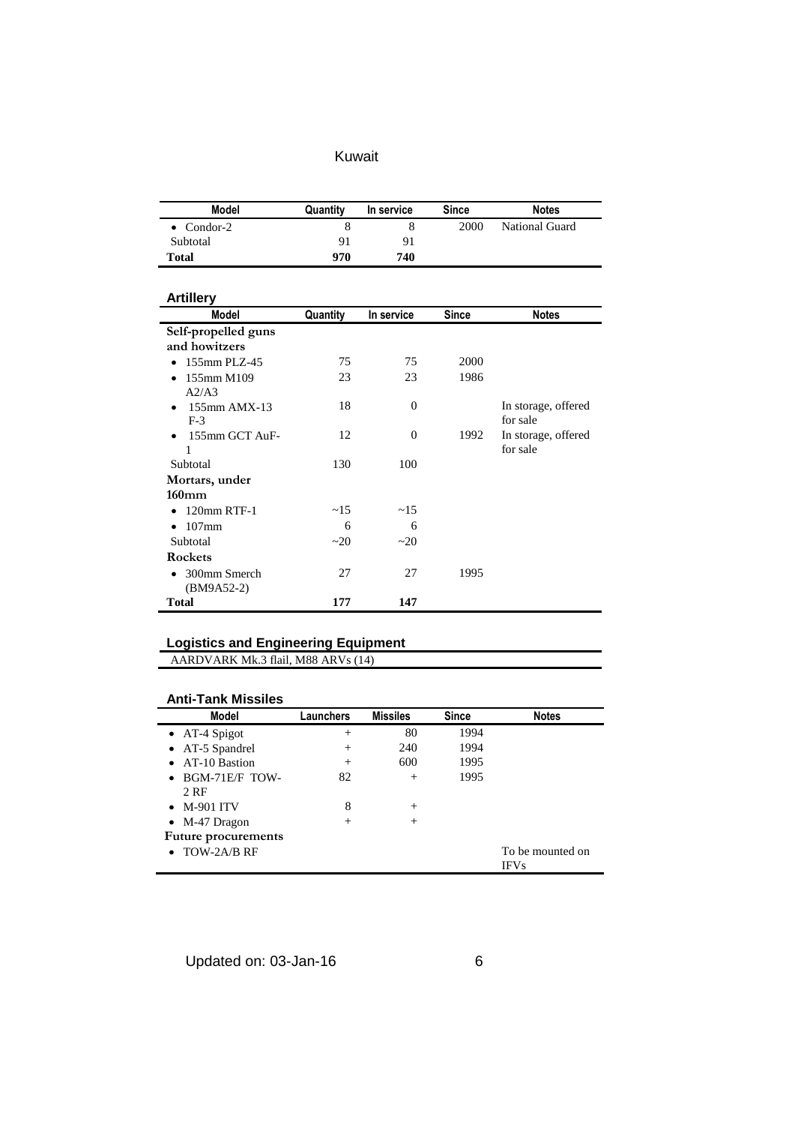| Model      | Quantity | In service | Since | <b>Notes</b>          |
|------------|----------|------------|-------|-----------------------|
| • Condor-2 | 8        |            | 2000  | <b>National Guard</b> |
| Subtotal   | 91       | 91         |       |                       |
| Total      | 970      | 740        |       |                       |

#### **Artillery**

| ALUIRTY             |          |                |       |                     |
|---------------------|----------|----------------|-------|---------------------|
| Model               | Quantity | In service     | Since | <b>Notes</b>        |
| Self-propelled guns |          |                |       |                     |
| and howitzers       |          |                |       |                     |
| 155mm PLZ-45        | 75       | 75             | 2000  |                     |
| 155mm M109<br>٠     | 23       | 23             | 1986  |                     |
| A2/A3               |          |                |       |                     |
| $155$ mm AMX-13     | 18       | $\overline{0}$ |       | In storage, offered |
| $F-3$               |          |                |       | for sale            |
| 155mm GCT AuF-<br>٠ | 12       | $\overline{0}$ | 1992  | In storage, offered |
| 1                   |          |                |       | for sale            |
| Subtotal            | 130      | 100            |       |                     |
| Mortars, under      |          |                |       |                     |
| $160$ mm            |          |                |       |                     |
| 120mm RTF-1         | ~15      | ~15            |       |                     |
| $107$ mm<br>٠       | 6        | 6              |       |                     |
| Subtotal            | ~20      | ~20            |       |                     |
| Rockets             |          |                |       |                     |
| 300mm Smerch        | 27       | 27             | 1995  |                     |
| $(BM9A52-2)$        |          |                |       |                     |
| <b>Total</b>        | 177      | 147            |       |                     |

### **Logistics and Engineering Equipment**

AARDVARK Mk.3 flail, M88 ARVs (14)

## **Anti-Tank Missiles**

| <b>Model</b>               | Launchers      | <b>Missiles</b> | <b>Since</b> | <b>Notes</b>     |
|----------------------------|----------------|-----------------|--------------|------------------|
| $\bullet$ AT-4 Spigot      | $^{+}$         | 80              | 1994         |                  |
| • AT-5 Spandrel            | $^{+}$         | 240             | 1994         |                  |
| • AT-10 Bastion            | $\overline{+}$ | 600             | 1995         |                  |
| $\bullet$ BGM-71E/F TOW-   | 82             | $^{+}$          | 1995         |                  |
| 2 RF                       |                |                 |              |                  |
| $\bullet$ M-901 ITV        | 8              | $^{+}$          |              |                  |
| $\bullet$ M-47 Dragon      | $^{+}$         | $^{+}$          |              |                  |
| <b>Future procurements</b> |                |                 |              |                  |
| $\bullet$ TOW-2A/B RF      |                |                 |              | To be mounted on |
|                            |                |                 |              | <b>IFVs</b>      |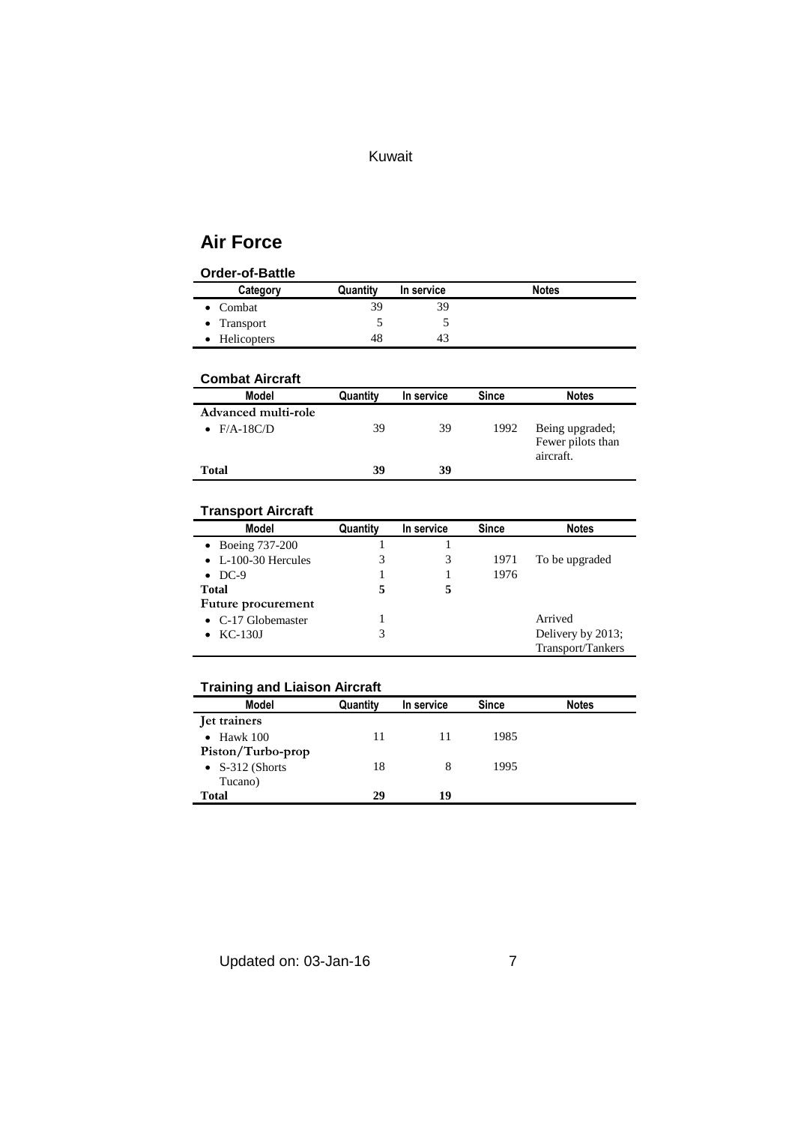## **Air Force**

#### **Order-of-Battle**

| Category            | Quantity | In service | <b>Notes</b> |
|---------------------|----------|------------|--------------|
| Combat              | 39       | 39         |              |
| $\bullet$ Transport |          |            |              |
| <b>Helicopters</b>  | 48       | 43         |              |

#### **Combat Aircraft**

| <b>Model</b>        | Quantity | In service | Since | <b>Notes</b>                                      |
|---------------------|----------|------------|-------|---------------------------------------------------|
| Advanced multi-role |          |            |       |                                                   |
| $F/A-18C/D$         | 39       | 39         | 1992  | Being upgraded;<br>Fewer pilots than<br>aircraft. |
| Total               | 39       | 39         |       |                                                   |

## **Transport Aircraft**

| Model                       | Quantity | In service | <b>Since</b> | <b>Notes</b>      |
|-----------------------------|----------|------------|--------------|-------------------|
| $\bullet$ Boeing 737-200    |          |            |              |                   |
| $\bullet$ L-100-30 Hercules |          |            | 1971         | To be upgraded    |
| $\bullet$ DC-9              |          |            | 1976         |                   |
| Total                       | 5        |            |              |                   |
| Future procurement          |          |            |              |                   |
| $\bullet$ C-17 Globemaster  |          |            |              | Arrived           |
| $\bullet$ KC-130J           | 3        |            |              | Delivery by 2013; |
|                             |          |            |              | Transport/Tankers |

### **Training and Liaison Aircraft**

| <b>Model</b>            | Quantity | In service | <b>Since</b> | <b>Notes</b> |
|-------------------------|----------|------------|--------------|--------------|
| Jet trainers            |          |            |              |              |
| Hawk 100<br>$\bullet$   | 11       | 11         | 1985         |              |
| Piston/Turbo-prop       |          |            |              |              |
| $\bullet$ S-312 (Shorts | 18       | 8          | 1995         |              |
| Tucano)                 |          |            |              |              |
| <b>Total</b>            | 29       | 19         |              |              |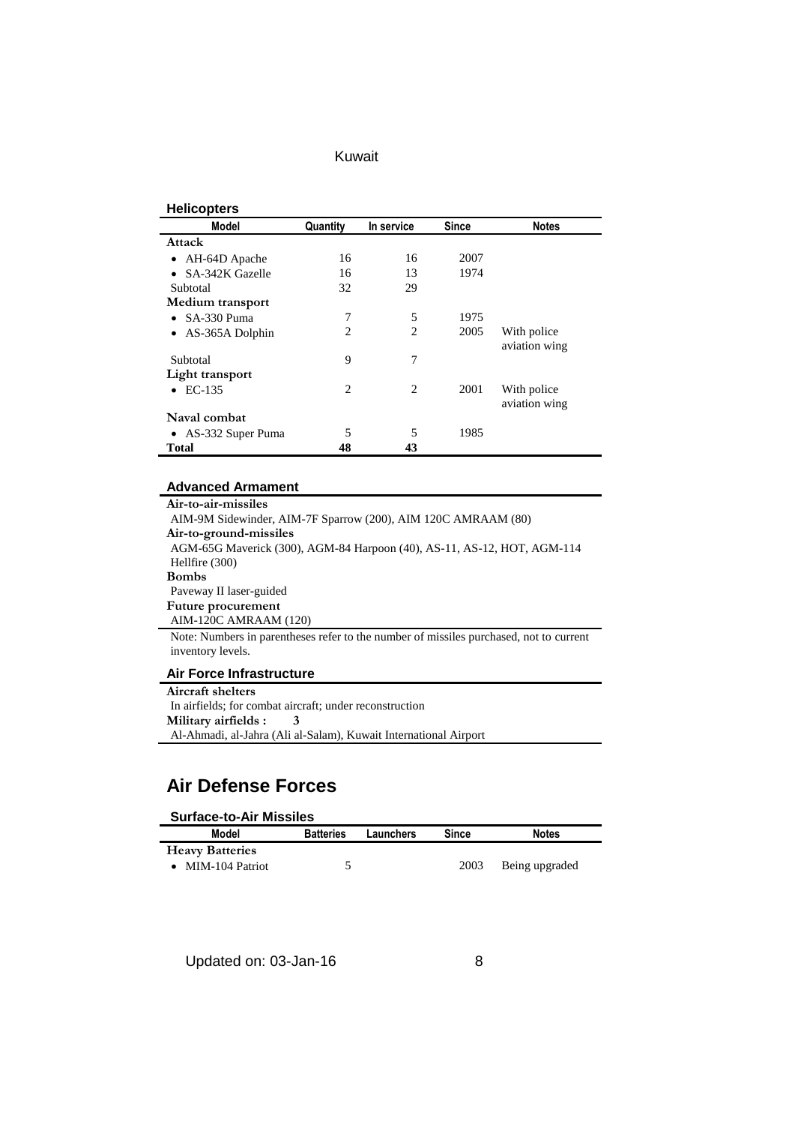#### **Helicopters**

| Model                        | Quantity | In service     | <b>Since</b> | <b>Notes</b>                 |
|------------------------------|----------|----------------|--------------|------------------------------|
| Attack                       |          |                |              |                              |
| AH-64D Apache<br>٠           | 16       | 16             | 2007         |                              |
| SA-342K Gazelle<br>$\bullet$ | 16       | 13             | 1974         |                              |
| Subtotal                     | 32       | 29             |              |                              |
| Medium transport             |          |                |              |                              |
| $\bullet$ SA-330 Puma        | 7        | 5              | 1975         |                              |
| AS-365A Dolphin<br>$\bullet$ | 2        | $\overline{c}$ | 2005         | With police<br>aviation wing |
| Subtotal                     | 9        | 7              |              |                              |
| Light transport              |          |                |              |                              |
| EC-135<br>$\bullet$          | 2        | $\overline{c}$ | 2001         | With police<br>aviation wing |
| Naval combat                 |          |                |              |                              |
| • AS-332 Super Puma          | 5        | 5              | 1985         |                              |
| <b>Total</b>                 | 48       | 43             |              |                              |

#### **Advanced Armament**

**Air-to-air-missiles** AIM-9M Sidewinder, AIM-7F Sparrow (200), AIM 120C AMRAAM (80) **Air-to-ground-missiles** AGM-65G Maverick (300), AGM-84 Harpoon (40), AS-11, AS-12, HOT, AGM-114 Hellfire (300) **Bombs** Paveway II laser-guided **Future procurement** AIM-120C AMRAAM (120) Note: Numbers in parentheses refer to the number of missiles purchased, not to current

#### **Air Force Infrastructure**

inventory levels.

**Aircraft shelters** In airfields; for combat aircraft; under reconstruction **Military airfields : 3**  Al-Ahmadi, al-Jahra (Ali al-Salam), Kuwait International Airport

## **Air Defense Forces**

#### **Surface-to-Air Missiles**

| Model                  | <b>Batteries</b> | Launchers | Since | <b>Notes</b>   |
|------------------------|------------------|-----------|-------|----------------|
| <b>Heavy Batteries</b> |                  |           |       |                |
| • MIM-104 Patriot      |                  |           | 2003  | Being upgraded |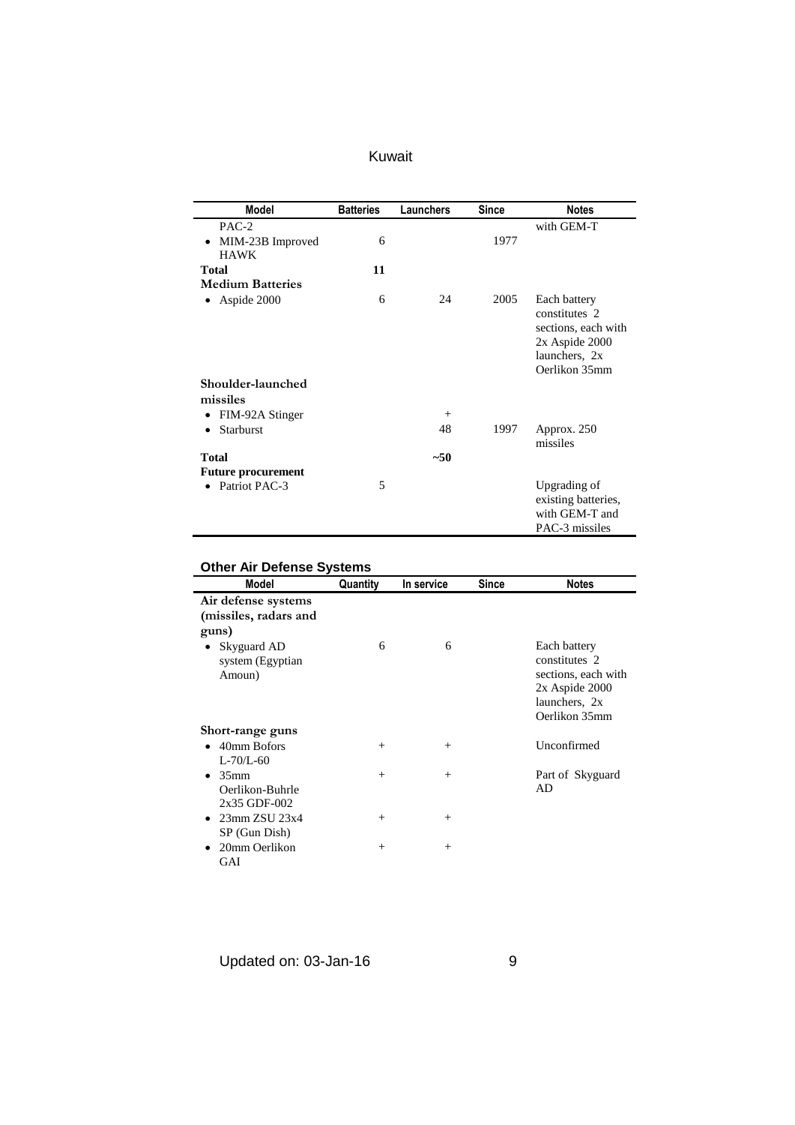| Kuwait |  |
|--------|--|
|        |  |

| <b>Model</b>                    | <b>Batteries</b> | Launchers | Since | <b>Notes</b>                                                                                             |
|---------------------------------|------------------|-----------|-------|----------------------------------------------------------------------------------------------------------|
| PAC-2                           |                  |           |       | with GEM-T                                                                                               |
| MIM-23B Improved<br><b>HAWK</b> | 6                |           | 1977  |                                                                                                          |
| Total                           | 11               |           |       |                                                                                                          |
| <b>Medium Batteries</b>         |                  |           |       |                                                                                                          |
| Aspide 2000<br>$\bullet$        | 6                | 24        | 2005  | Each battery<br>constitutes 2<br>sections, each with<br>2x Aspide 2000<br>launchers, 2x<br>Oerlikon 35mm |
| Shoulder-launched               |                  |           |       |                                                                                                          |
| missiles                        |                  |           |       |                                                                                                          |
| FIM-92A Stinger<br>$\bullet$    |                  | $^{+}$    |       |                                                                                                          |
| Starburst<br>$\bullet$          |                  | 48        | 1997  | Approx. 250<br>missiles                                                                                  |
| <b>Total</b>                    |                  | $~1$ - 50 |       |                                                                                                          |
| <b>Future procurement</b>       |                  |           |       |                                                                                                          |
| Patriot PAC-3                   | 5                |           |       | Upgrading of<br>existing batteries,<br>with GEM-T and<br>PAC-3 missiles                                  |

# **Other Air Defense Systems**

| Model                                                            | Quantity | In service | <b>Since</b> | <b>Notes</b>                                                                                                 |
|------------------------------------------------------------------|----------|------------|--------------|--------------------------------------------------------------------------------------------------------------|
| Air defense systems<br>(missiles, radars and<br>guns)            |          |            |              |                                                                                                              |
| Skyguard AD<br>system (Egyptian)<br>Amoun)                       | 6        | 6          |              | Each battery<br>constitutes 2<br>sections, each with<br>$2x$ Aspide $2000$<br>launchers, 2x<br>Oerlikon 35mm |
| Short-range guns                                                 |          |            |              |                                                                                                              |
| $\bullet$ 40mm Bofors<br>$L - 70/L - 60$                         | $^{+}$   | $^{+}$     |              | Unconfirmed                                                                                                  |
| 35 <sub>mm</sub><br>$\bullet$<br>Oerlikon-Buhrle<br>2x35 GDF-002 | $^{+}$   | $^{+}$     |              | Part of Skyguard<br><b>AD</b>                                                                                |
| $\bullet$ 23mm ZSU 23x4<br>SP (Gun Dish)                         | $^{+}$   | $^{+}$     |              |                                                                                                              |
| 20mm Oerlikon<br>GAI                                             | $^{+}$   | $+$        |              |                                                                                                              |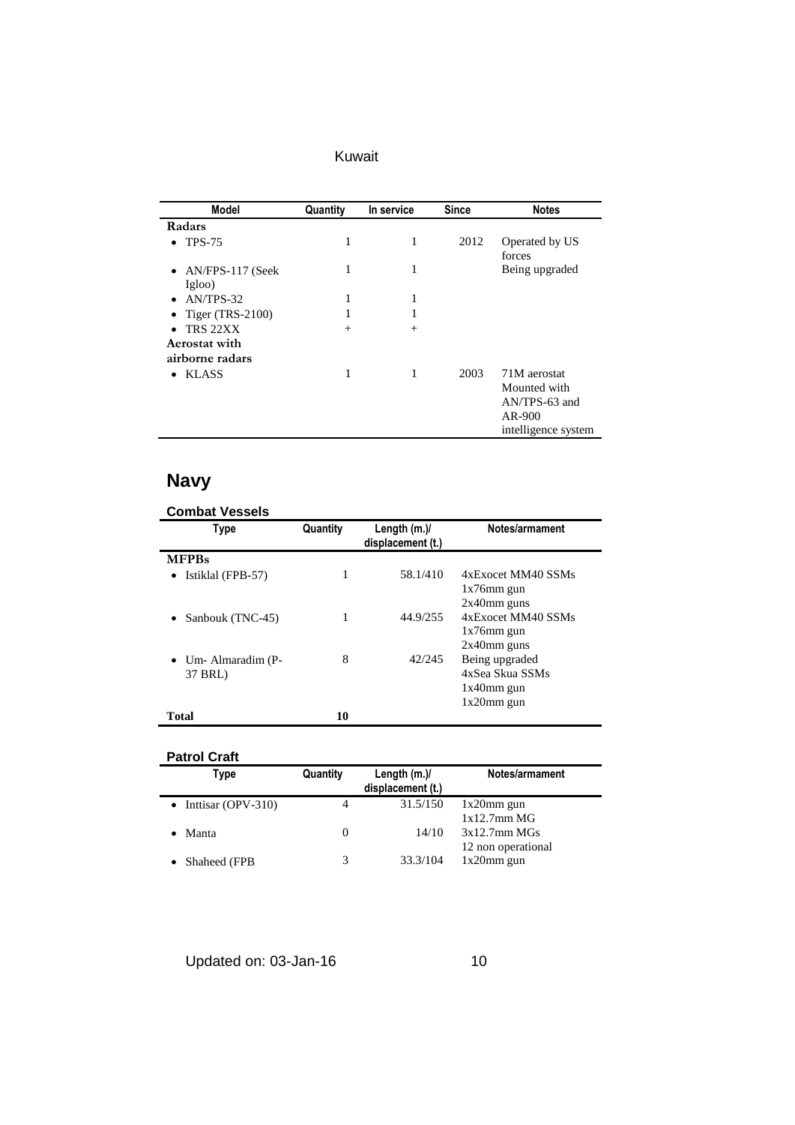| Kuwait |  |  |
|--------|--|--|
|        |  |  |

| <b>Model</b>                   | Quantity | In service | <b>Since</b> | <b>Notes</b>                                                                   |
|--------------------------------|----------|------------|--------------|--------------------------------------------------------------------------------|
| Radars                         |          |            |              |                                                                                |
| <b>TPS-75</b><br>$\bullet$     | 1        | 1          | 2012         | Operated by US<br>forces                                                       |
| • $AN/FPS-117$ (Seek<br>Igloo) | 1        | 1          |              | Being upgraded                                                                 |
| AN/TPS-32<br>$\bullet$         | 1        | 1          |              |                                                                                |
| Tiger $(TRS-2100)$             |          |            |              |                                                                                |
| TRS 22XX                       | $^{+}$   | $+$        |              |                                                                                |
| Aerostat with                  |          |            |              |                                                                                |
| airborne radars                |          |            |              |                                                                                |
| <b>KLASS</b><br>$\bullet$      | 1        | 1          | 2003         | 71M aerostat<br>Mounted with<br>AN/TPS-63 and<br>AR-900<br>intelligence system |

# **Navy**

| <b>Type</b>                           | Quantity | Length $(m.)/$<br>displacement (t.) | Notes/armament                                                      |
|---------------------------------------|----------|-------------------------------------|---------------------------------------------------------------------|
| <b>MFPBs</b>                          |          |                                     |                                                                     |
| • Istiklal (FPB-57)                   |          | 58.1/410                            | 4xExocet MM40 SSMs<br>$1x76$ mm gun<br>$2x40$ mm guns               |
| Sanbouk (TNC-45)<br>$\bullet$         | 1        | 44.9/255                            | 4xExocet MM40 SSMs<br>$1x76$ mm gun<br>$2x40$ mm guns               |
| $\bullet$ Um-Almaradim (P-<br>37 BRL) | 8        | 42/245                              | Being upgraded<br>4xSea Skua SSMs<br>$1x40$ mm gun<br>$1x20$ mm gun |
| <b>Total</b>                          | 10       |                                     |                                                                     |

### **Patrol Craft**

| Type               | Quantity | Length $(m.)/$<br>displacement (t.) | Notes/armament     |
|--------------------|----------|-------------------------------------|--------------------|
| Inttisar (OPV-310) | 4        | 31.5/150                            | $1x20$ mm gun      |
|                    |          |                                     | 1x12.7mm MG        |
| Manta              | $\theta$ | 14/10                               | 3x12.7mm MGs       |
|                    |          |                                     | 12 non operational |
| Shaheed (FPB)      | 3        | 33.3/104                            | $1x20$ mm gun      |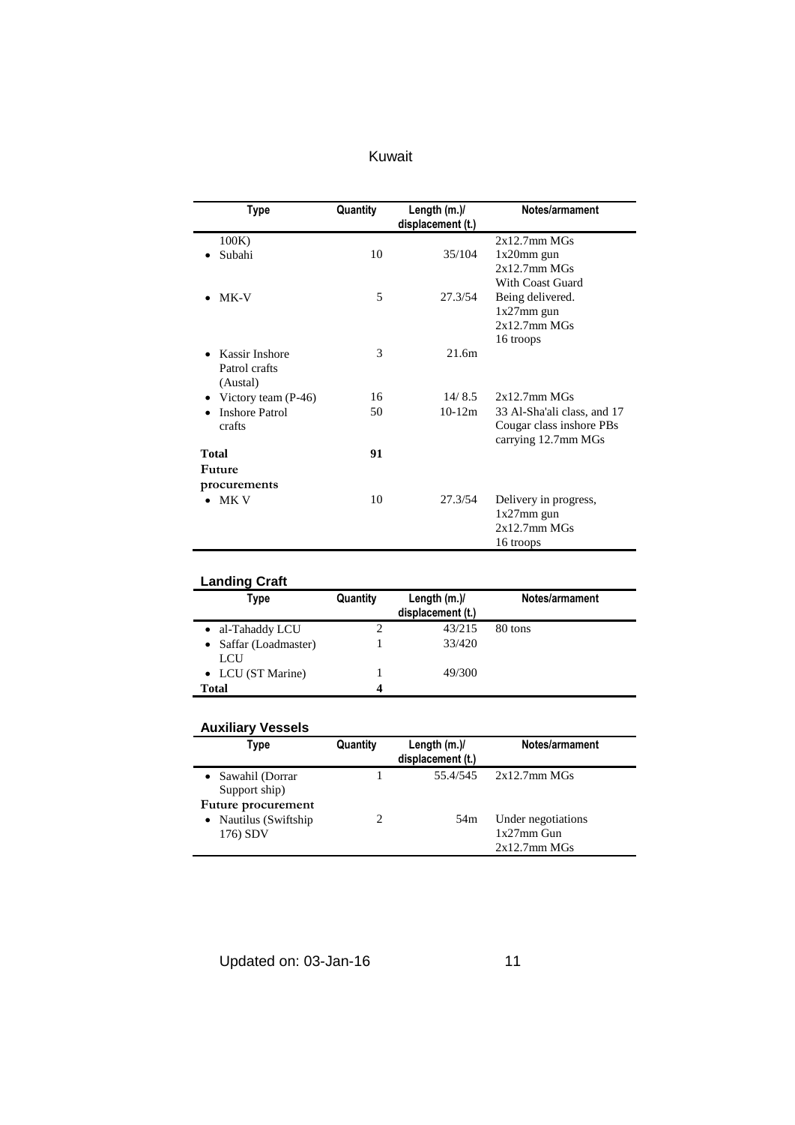| Kuwait |  |
|--------|--|
|        |  |
|        |  |
|        |  |

| Type                        | Quantity | Length (m.)/<br>displacement (t.) | Notes/armament              |
|-----------------------------|----------|-----------------------------------|-----------------------------|
| 100K)                       |          |                                   | $2x12.7$ mm M $Gs$          |
| Subahi                      | 10       | 35/104                            | $1x20$ mm gun               |
|                             |          |                                   | $2x12.7$ mm M $Gs$          |
|                             |          |                                   | With Coast Guard            |
| MK-V                        | 5        | 27.3/54                           | Being delivered.            |
|                             |          |                                   | $1x27$ mm gun               |
|                             |          |                                   | $2x12.7$ mm M $Gs$          |
|                             |          |                                   | 16 troops                   |
| Kassir Inshore<br>$\bullet$ | 3        | 21.6m                             |                             |
| Patrol crafts               |          |                                   |                             |
| (Austal)                    |          |                                   |                             |
| • Victory team $(P-46)$     | 16       | 14/8.5                            | $2x12.7$ mm M $Gs$          |
| <b>Inshore Patrol</b>       | 50       | $10-12m$                          | 33 Al-Sha'ali class, and 17 |
| crafts                      |          |                                   | Cougar class inshore PBs    |
|                             |          |                                   | carrying 12.7mm MGs         |
| <b>Total</b>                | 91       |                                   |                             |
| Future                      |          |                                   |                             |
| procurements                |          |                                   |                             |
| MK V                        | 10       | 27.3/54                           | Delivery in progress,       |
|                             |          |                                   | $1x27mm$ gun                |
|                             |          |                                   | $2x12.7$ mm M $Gs$          |
|                             |          |                                   | 16 troops                   |

| Type                       | Quantity | Length $(m.)/$<br>displacement (t.) | Notes/armament |
|----------------------------|----------|-------------------------------------|----------------|
| al-Tahaddy LCU             |          | 43/215                              | 80 tons        |
| Saffar (Loadmaster)<br>LCU |          | 33/420                              |                |
| • LCU (ST Marine)          |          | 49/300                              |                |
| Total                      |          |                                     |                |

# **Auxiliary Vessels**

| Type                                                          | Quantity | Length $(m.)/$<br>displacement (t.) | Notes/armament                                         |
|---------------------------------------------------------------|----------|-------------------------------------|--------------------------------------------------------|
| Sawahil (Dorrar<br>Support ship)<br><b>Future procurement</b> |          | 55.4/545                            | $2x12.7$ mm M $Gs$                                     |
| Nautilus (Swiftship<br>176) SDV                               |          | 54 <sub>m</sub>                     | Under negotiations<br>$1x27$ mm Gun<br>$2x12.7$ mm MGs |